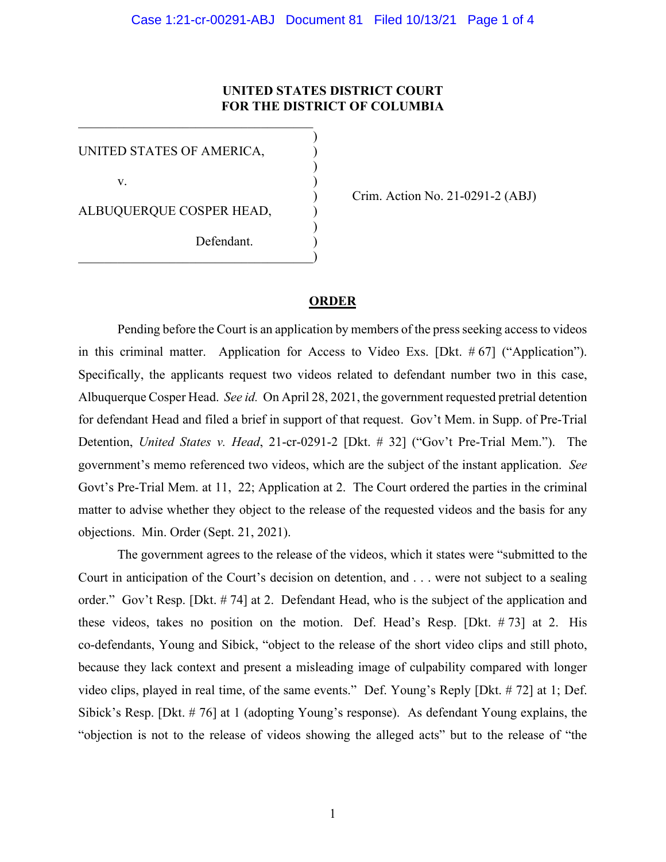## **UNITED STATES DISTRICT COURT FOR THE DISTRICT OF COLUMBIA**

)

)

)

UNITED STATES OF AMERICA, )

 $\mathbf v.$  )

ALBUQUERQUE COSPER HEAD, )

 $\hspace{.5em}$   $\hspace{.5em}$   $\hspace{.5em}$   $\hspace{.5em}$   $\hspace{.5em}$   $\hspace{.5em}$   $\hspace{.5em}$   $\hspace{.5em}$   $\hspace{.5em}$   $\hspace{.5em}$   $\hspace{.5em}$   $\hspace{.5em}$   $\hspace{.5em}$   $\hspace{.5em}$   $\hspace{.5em}$   $\hspace{.5em}$   $\hspace{.5em}$   $\hspace{.5em}$   $\hspace{.5em}$   $\hspace{.5em}$ 

Defendant.

) Crim. Action No. 21-0291-2 (ABJ)

## **ORDER**

Pending before the Court is an application by members of the press seeking access to videos in this criminal matter. Application for Access to Video Exs. [Dkt. # 67] ("Application"). Specifically, the applicants request two videos related to defendant number two in this case, Albuquerque Cosper Head. *See id.* On April 28, 2021, the government requested pretrial detention for defendant Head and filed a brief in support of that request. Gov't Mem. in Supp. of Pre-Trial Detention, *United States v. Head*, 21-cr-0291-2 [Dkt. # 32] ("Gov't Pre-Trial Mem."). The government's memo referenced two videos, which are the subject of the instant application. *See* Govt's Pre-Trial Mem. at 11, 22; Application at 2. The Court ordered the parties in the criminal matter to advise whether they object to the release of the requested videos and the basis for any objections. Min. Order (Sept. 21, 2021).

The government agrees to the release of the videos, which it states were "submitted to the Court in anticipation of the Court's decision on detention, and . . . were not subject to a sealing order." Gov't Resp. [Dkt. # 74] at 2. Defendant Head, who is the subject of the application and these videos, takes no position on the motion. Def. Head's Resp. [Dkt. # 73] at 2. His co-defendants, Young and Sibick, "object to the release of the short video clips and still photo, because they lack context and present a misleading image of culpability compared with longer video clips, played in real time, of the same events." Def. Young's Reply [Dkt. # 72] at 1; Def. Sibick's Resp. [Dkt. # 76] at 1 (adopting Young's response). As defendant Young explains, the "objection is not to the release of videos showing the alleged acts" but to the release of "the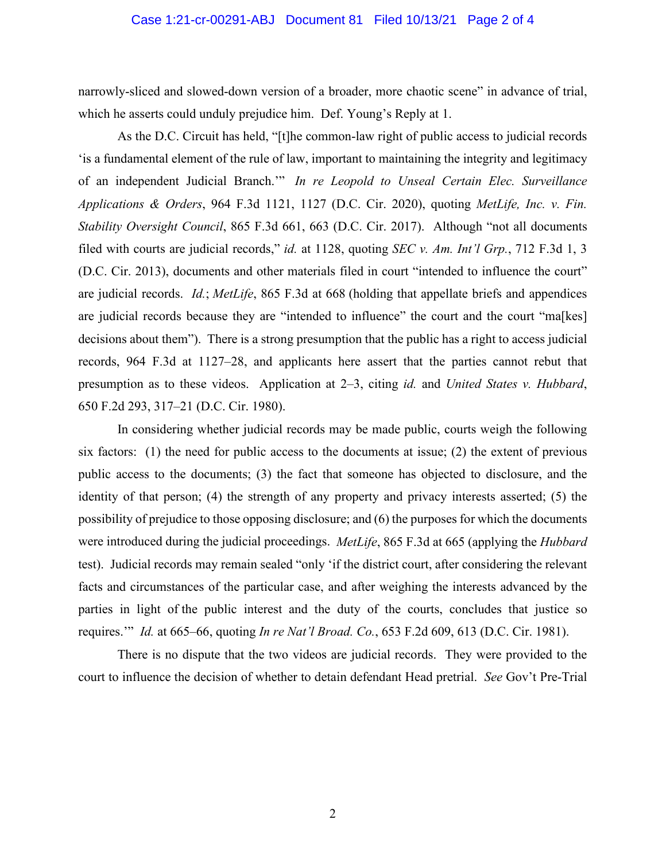## Case 1:21-cr-00291-ABJ Document 81 Filed 10/13/21 Page 2 of 4

narrowly-sliced and slowed-down version of a broader, more chaotic scene" in advance of trial, which he asserts could unduly prejudice him. Def. Young's Reply at 1.

As the D.C. Circuit has held, "[t]he common-law right of public access to judicial records 'is a fundamental element of the rule of law, important to maintaining the integrity and legitimacy of an independent Judicial Branch.'" *In re Leopold to Unseal Certain Elec. Surveillance Applications & Orders*, 964 F.3d 1121, 1127 (D.C. Cir. 2020), quoting *MetLife, Inc. v. Fin. Stability Oversight Council*, 865 F.3d 661, 663 (D.C. Cir. 2017). Although "not all documents filed with courts are judicial records," *id.* at 1128, quoting *SEC v. Am. Int'l Grp.*, 712 F.3d 1, 3 (D.C. Cir. 2013), documents and other materials filed in court "intended to influence the court" are judicial records. *Id.*; *MetLife*, 865 F.3d at 668 (holding that appellate briefs and appendices are judicial records because they are "intended to influence" the court and the court "ma[kes] decisions about them"). There is a strong presumption that the public has a right to access judicial records, 964 F.3d at 1127–28, and applicants here assert that the parties cannot rebut that presumption as to these videos. Application at 2–3, citing *id.* and *United States v. Hubbard*, 650 F.2d 293, 317–21 (D.C. Cir. 1980).

In considering whether judicial records may be made public, courts weigh the following six factors: (1) the need for public access to the documents at issue; (2) the extent of previous public access to the documents; (3) the fact that someone has objected to disclosure, and the identity of that person; (4) the strength of any property and privacy interests asserted; (5) the possibility of prejudice to those opposing disclosure; and (6) the purposes for which the documents were introduced during the judicial proceedings. *MetLife*, 865 F.3d at 665 (applying the *Hubbard*  test). Judicial records may remain sealed "only 'if the district court, after considering the relevant facts and circumstances of the particular case, and after weighing the interests advanced by the parties in light of the public interest and the duty of the courts, concludes that justice so requires.'" *Id.* at 665–66, quoting *In re Nat'l Broad. Co.*, 653 F.2d 609, 613 (D.C. Cir. 1981).

There is no dispute that the two videos are judicial records. They were provided to the court to influence the decision of whether to detain defendant Head pretrial. *See* Gov't Pre-Trial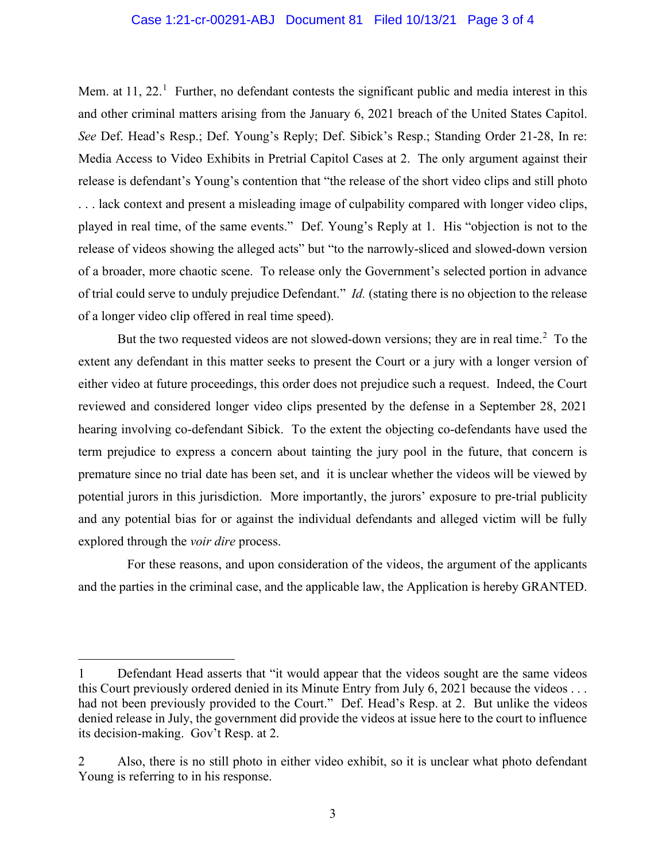## Case 1:21-cr-00291-ABJ Document 81 Filed 10/13/21 Page 3 of 4

Mem. at  $11$ ,  $22<sup>1</sup>$  Further, no defendant contests the significant public and media interest in this and other criminal matters arising from the January 6, 2021 breach of the United States Capitol. *See* Def. Head's Resp.; Def. Young's Reply; Def. Sibick's Resp.; Standing Order 21-28, In re: Media Access to Video Exhibits in Pretrial Capitol Cases at 2. The only argument against their release is defendant's Young's contention that "the release of the short video clips and still photo . . . lack context and present a misleading image of culpability compared with longer video clips, played in real time, of the same events." Def. Young's Reply at 1. His "objection is not to the release of videos showing the alleged acts" but "to the narrowly-sliced and slowed-down version of a broader, more chaotic scene. To release only the Government's selected portion in advance of trial could serve to unduly prejudice Defendant." *Id.* (stating there is no objection to the release of a longer video clip offered in real time speed).

But the two requested videos are not slowed-down versions; they are in real time.<sup>2</sup> To the extent any defendant in this matter seeks to present the Court or a jury with a longer version of either video at future proceedings, this order does not prejudice such a request. Indeed, the Court reviewed and considered longer video clips presented by the defense in a September 28, 2021 hearing involving co-defendant Sibick. To the extent the objecting co-defendants have used the term prejudice to express a concern about tainting the jury pool in the future, that concern is premature since no trial date has been set, and it is unclear whether the videos will be viewed by potential jurors in this jurisdiction. More importantly, the jurors' exposure to pre-trial publicity and any potential bias for or against the individual defendants and alleged victim will be fully explored through the *voir dire* process.

 For these reasons, and upon consideration of the videos, the argument of the applicants and the parties in the criminal case, and the applicable law, the Application is hereby GRANTED.

<sup>1</sup> Defendant Head asserts that "it would appear that the videos sought are the same videos this Court previously ordered denied in its Minute Entry from July 6, 2021 because the videos . . . had not been previously provided to the Court." Def. Head's Resp. at 2. But unlike the videos denied release in July, the government did provide the videos at issue here to the court to influence its decision-making. Gov't Resp. at 2.

<sup>2</sup> Also, there is no still photo in either video exhibit, so it is unclear what photo defendant Young is referring to in his response.